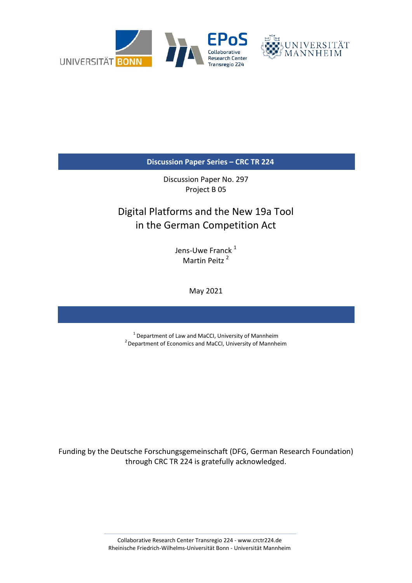

**Discussion Paper Series – CRC TR 224**

Discussion Paper No. 297 Project B 05

# Digital Platforms and the New 19a Tool in the German Competition Act

Jens-Uwe Franck<sup>1</sup> Martin Peitz<sup>2</sup>

May 2021

 $1$  Department of Law and MaCCI, University of Mannheim  $2$  Department of Economics and MaCCI, University of Mannheim

Funding by the Deutsche Forschungsgemeinschaft (DFG, German Research Foundation) through CRC TR 224 is gratefully acknowledged.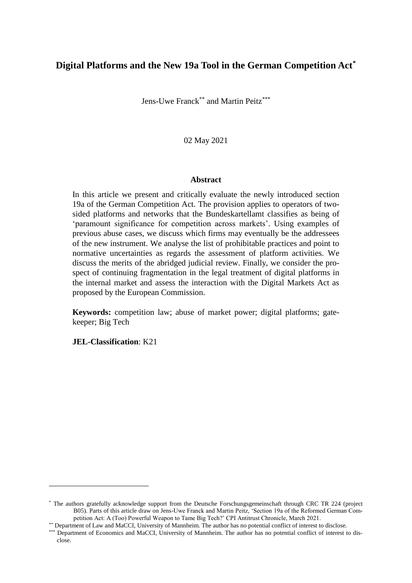## **Digital Platforms and the New 19a Tool in the German Competition Act\***

Jens-Uwe Franck<sup>\*\*</sup> and Martin Peitz<sup>\*\*\*</sup>

02 May 2021

#### **Abstract**

<span id="page-1-0"></span>In this article we present and critically evaluate the newly introduced section 19a of the German Competition Act. The provision applies to operators of twosided platforms and networks that the Bundeskartellamt classifies as being of 'paramount significance for competition across markets'. Using examples of previous abuse cases, we discuss which firms may eventually be the addressees of the new instrument. We analyse the list of prohibitable practices and point to normative uncertainties as regards the assessment of platform activities. We discuss the merits of the abridged judicial review. Finally, we consider the prospect of continuing fragmentation in the legal treatment of digital platforms in the internal market and assess the interaction with the Digital Markets Act as proposed by the European Commission.

**Keywords:** competition law; abuse of market power; digital platforms; gatekeeper; Big Tech

**JEL-Classification**: K21

<sup>\*</sup> The authors gratefully acknowledge support from the Deutsche Forschungsgemeinschaft through CRC TR 224 (project B05). Parts of this article draw on Jens-Uwe Franck and Martin Peitz, 'Section 19a of the Reformed German Competition Act: A (Too) Powerful Weapon to Tame Big Tech?' CPI Antitrust Chronicle, March 2021.

<sup>\*\*</sup> Department of Law and MaCCI, University of Mannheim. The author has no potential conflict of interest to disclose.

<sup>\*\*\*</sup> Department of Economics and MaCCI, University of Mannheim. The author has no potential conflict of interest to disclose.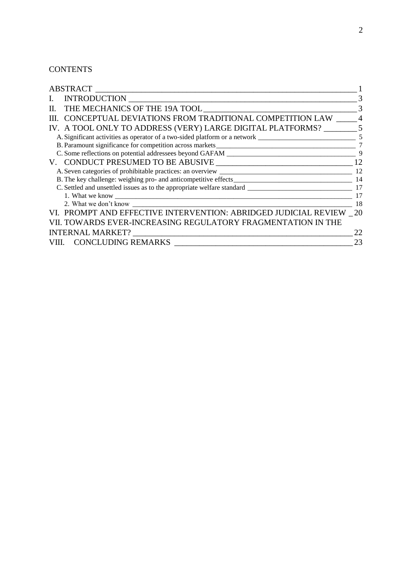## **CONTENTS**

|    | <b>ABSTRACT</b>                                                            |    |
|----|----------------------------------------------------------------------------|----|
| L. | <b>INTRODUCTION</b>                                                        |    |
| П. |                                                                            |    |
|    | CONCEPTUAL DEVIATIONS FROM TRADITIONAL COMPETITION LAW                     |    |
|    | IV. A TOOL ONLY TO ADDRESS (VERY) LARGE DIGITAL PLATFORMS?                 |    |
|    | A. Significant activities as operator of a two-sided platform or a network | 5  |
|    |                                                                            |    |
|    | C. Some reflections on potential addressees beyond GAFAM                   | q  |
|    |                                                                            | 12 |
|    |                                                                            | 12 |
|    |                                                                            | 14 |
|    |                                                                            | 17 |
|    |                                                                            | 17 |
|    |                                                                            | 18 |
|    | VI. PROMPT AND EFFECTIVE INTERVENTION: ABRIDGED JUDICIAL REVIEW 20         |    |
|    | VII. TOWARDS EVER-INCREASING REGULATORY FRAGMENTATION IN THE               |    |
|    | <b>INTERNAL MARKET?</b>                                                    |    |
|    | VIII. CONCLUDING REMARKS                                                   | 23 |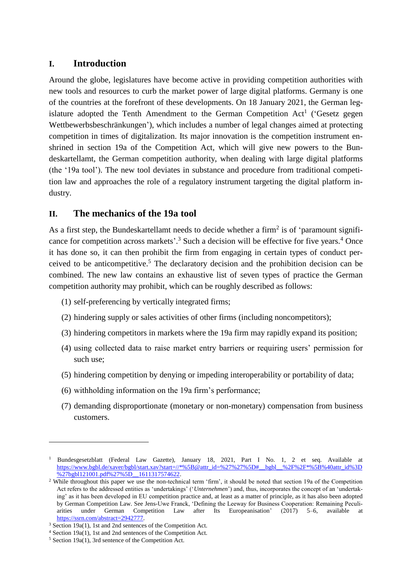## <span id="page-3-0"></span>**I. Introduction**

Around the globe, legislatures have become active in providing competition authorities with new tools and resources to curb the market power of large digital platforms. Germany is one of the countries at the forefront of these developments. On 18 January 2021, the German legislature adopted the Tenth Amendment to the German Competition  $Act^1$  ('Gesetz gegen Wettbewerbsbeschränkungen'), which includes a number of legal changes aimed at protecting competition in times of digitalization. Its major innovation is the competition instrument enshrined in section 19a of the Competition Act, which will give new powers to the Bundeskartellamt, the German competition authority, when dealing with large digital platforms (the '19a tool'). The new tool deviates in substance and procedure from traditional competition law and approaches the role of a regulatory instrument targeting the digital platform industry.

## <span id="page-3-1"></span>**II. The mechanics of the 19a tool**

As a first step, the Bundeskartellamt needs to decide whether a firm<sup>2</sup> is of 'paramount significance for competition across markets'.<sup>3</sup> Such a decision will be effective for five years.<sup>4</sup> Once it has done so, it can then prohibit the firm from engaging in certain types of conduct perceived to be anticompetitive.<sup>5</sup> The declaratory decision and the prohibition decision can be combined. The new law contains an exhaustive list of seven types of practice the German competition authority may prohibit, which can be roughly described as follows:

- (1) self-preferencing by vertically integrated firms;
- (2) hindering supply or sales activities of other firms (including noncompetitors);
- (3) hindering competitors in markets where the 19a firm may rapidly expand its position;
- (4) using collected data to raise market entry barriers or requiring users' permission for such use;
- (5) hindering competition by denying or impeding interoperability or portability of data;
- (6) withholding information on the 19a firm's performance;
- (7) demanding disproportionate (monetary or non-monetary) compensation from business customers.

<sup>1</sup> Bundesgesetzblatt (Federal Law Gazette), January 18, 2021, Part I No. 1, 2 et seq. Available at https://www.bgbl.de/xaver/bgbl/start.xav?start=//\*%5B@attr\_id=%27%27%5D#\_\_bgbl\_\_%2F%2F\*%5B%40attr\_id%3D %27bgbl121001.pdf%27%5D 1611317574622.

<sup>&</sup>lt;sup>2</sup> While throughout this paper we use the non-technical term 'firm', it should be noted that section 19a of the Competition Act refers to the addressed entities as 'undertakings' ('*Unternehmen*') and, thus, incorporates the concept of an 'undertaking' as it has been developed in EU competition practice and, at least as a matter of principle, as it has also been adopted by German Competition Law. See Jens-Uwe Franck, 'Defining the Leeway for Business Cooperation: Remaining Peculiarities under German Competition Law after Its Europeanisation' (2017) 5–6, available at https://ssrn.com/abstract=2942777.

<sup>&</sup>lt;sup>3</sup> Section 19a(1), 1st and 2nd sentences of the Competition Act.

<sup>4</sup> Section 19a(1), 1st and 2nd sentences of the Competition Act.

<sup>5</sup> Section 19a(1), 3rd sentence of the Competition Act.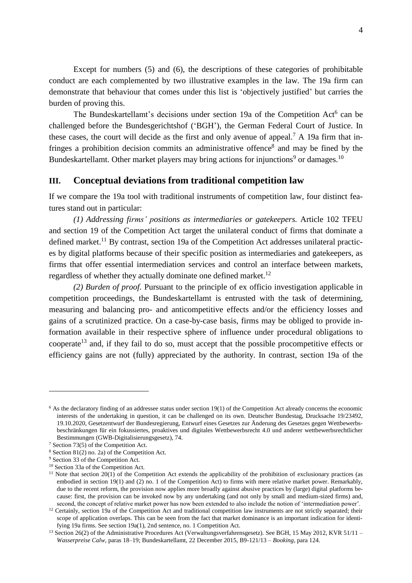Except for numbers (5) and (6), the descriptions of these categories of prohibitable conduct are each complemented by two illustrative examples in the law. The 19a firm can demonstrate that behaviour that comes under this list is 'objectively justified' but carries the burden of proving this.

<span id="page-4-1"></span>The Bundeskartellamt's decisions under section 19a of the Competition Act<sup>6</sup> can be challenged before the Bundesgerichtshof ('BGH'), the German Federal Court of Justice. In these cases, the court will decide as the first and only avenue of appeal.<sup>7</sup> A 19a firm that infringes a prohibition decision commits an administrative offence<sup>8</sup> and may be fined by the Bundeskartellamt. Other market players may bring actions for injunctions<sup>9</sup> or damages.<sup>10</sup>

#### <span id="page-4-0"></span>**III. Conceptual deviations from traditional competition law**

If we compare the 19a tool with traditional instruments of competition law, four distinct features stand out in particular:

*(1) Addressing firms' positions as intermediaries or gatekeepers.* Article 102 TFEU and section 19 of the Competition Act target the unilateral conduct of firms that dominate a defined market.<sup>11</sup> By contrast, section 19a of the Competition Act addresses unilateral practices by digital platforms because of their specific position as intermediaries and gatekeepers, as firms that offer essential intermediation services and control an interface between markets, regardless of whether they actually dominate one defined market.<sup>12</sup>

*(2) Burden of proof.* Pursuant to the principle of ex officio investigation applicable in competition proceedings, the Bundeskartellamt is entrusted with the task of determining, measuring and balancing pro- and anticompetitive effects and/or the efficiency losses and gains of a scrutinized practice. On a case-by-case basis, firms may be obliged to provide information available in their respective sphere of influence under procedural obligations to cooperate<sup>13</sup> and, if they fail to do so, must accept that the possible procompetitive effects or efficiency gains are not (fully) appreciated by the authority. In contrast, section 19a of the

 $6$  As the declaratory finding of an addressee status under section 19(1) of the Competition Act already concerns the economic interests of the undertaking in question, it can be challenged on its own. Deutscher Bundestag, Drucksache 19/23492, 19.10.2020, Gesetzentwurf der Bundesregierung, Entwurf eines Gesetzes zur Änderung des Gesetzes gegen Wettbewerbsbeschränkungen für ein fokussiertes, proaktives und digitales Wettbewerbsrecht 4.0 und anderer wettbewerbsrechtlicher Bestimmungen (GWB-Digitalisierungsgesetz), 74.

<sup>7</sup> Section 73(5) of the Competition Act.

<sup>8</sup> Section 81(2) no. 2a) of the Competition Act.

<sup>9</sup> Section 33 of the Competition Act.

<sup>10</sup> Section 33a of the Competition Act.

<sup>&</sup>lt;sup>11</sup> Note that section 20(1) of the Competition Act extends the applicability of the prohibition of exclusionary practices (as embodied in section 19(1) and (2) no. 1 of the Competition Act) to firms with mere relative market power. Remarkably, due to the recent reform, the provision now applies more broadly against abusive practices by (large) digital platforms because: first, the provision can be invoked now by any undertaking (and not only by small and medium-sized firms) and, second, the concept of relative market power has now been extended to also include the notion of 'intermediation power'.

<sup>&</sup>lt;sup>12</sup> Certainly, section 19a of the Competition Act and traditional competition law instruments are not strictly separated; their scope of application overlaps. This can be seen from the fact that market dominance is an important indication for identifying 19a firms. See section 19a(1), 2nd sentence, no. 1 Competition Act.

<sup>&</sup>lt;sup>13</sup> Section 26(2) of the Administrative Procedures Act (Verwaltungsverfahrensgesetz). See BGH, 15 May 2012, KVR 51/11 – *Wasserpreise Calw*, paras 18–19; Bundeskartellamt, 22 December 2015, B9-121/13 – *Booking*, para 124.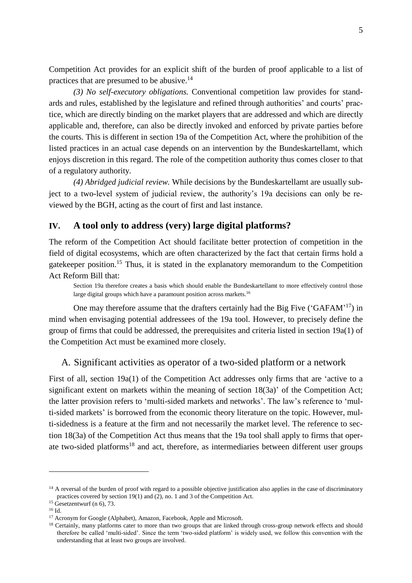Competition Act provides for an explicit shift of the burden of proof applicable to a list of practices that are presumed to be abusive.<sup>14</sup>

*(3) No self-executory obligations.* Conventional competition law provides for standards and rules, established by the legislature and refined through authorities' and courts' practice, which are directly binding on the market players that are addressed and which are directly applicable and, therefore, can also be directly invoked and enforced by private parties before the courts. This is different in section 19a of the Competition Act, where the prohibition of the listed practices in an actual case depends on an intervention by the Bundeskartellamt, which enjoys discretion in this regard. The role of the competition authority thus comes closer to that of a regulatory authority.

*(4) Abridged judicial review.* While decisions by the Bundeskartellamt are usually subject to a two-level system of judicial review, the authority's 19a decisions can only be reviewed by the BGH, acting as the court of first and last instance.

## <span id="page-5-0"></span>**IV. A tool only to address (very) large digital platforms?**

The reform of the Competition Act should facilitate better protection of competition in the field of digital ecosystems, which are often characterized by the fact that certain firms hold a gatekeeper position.<sup>15</sup> Thus, it is stated in the explanatory memorandum to the Competition Act Reform Bill that:

Section 19a therefore creates a basis which should enable the Bundeskartellamt to more effectively control those large digital groups which have a paramount position across markets.<sup>16</sup>

One may therefore assume that the drafters certainly had the Big Five  $('GAFAM'<sup>17</sup>)$  in mind when envisaging potential addressees of the 19a tool. However, to precisely define the group of firms that could be addressed, the prerequisites and criteria listed in section 19a(1) of the Competition Act must be examined more closely.

<span id="page-5-1"></span>A. Significant activities as operator of a two-sided platform or a network

First of all, section 19a(1) of the Competition Act addresses only firms that are 'active to a significant extent on markets within the meaning of section 18(3a)' of the Competition Act; the latter provision refers to 'multi-sided markets and networks'. The law's reference to 'multi-sided markets' is borrowed from the economic theory literature on the topic. However, multi-sidedness is a feature at the firm and not necessarily the market level. The reference to section 18(3a) of the Competition Act thus means that the 19a tool shall apply to firms that operate two-sided platforms<sup>18</sup> and act, therefore, as intermediaries between different user groups

<u>.</u>

<sup>&</sup>lt;sup>14</sup> A reversal of the burden of proof with regard to a possible objective justification also applies in the case of discriminatory practices covered by section 19(1) and (2), no. 1 and 3 of the Competition Act.

 $15$  Gesetzentwurf (n [6\)](#page-4-1), 73.

<sup>16</sup> Id.

<sup>&</sup>lt;sup>17</sup> Acronym for Google (Alphabet), Amazon, Facebook, Apple and Microsoft.

<sup>&</sup>lt;sup>18</sup> Certainly, many platforms cater to more than two groups that are linked through cross-group network effects and should therefore be called 'multi-sided'. Since the term 'two-sided platform' is widely used, we follow this convention with the understanding that at least two groups are involved.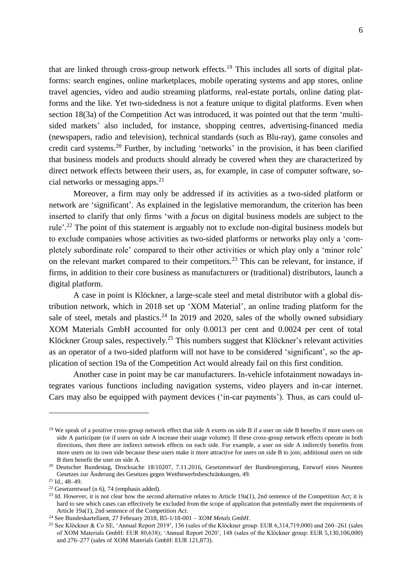that are linked through cross-group network effects.<sup>19</sup> This includes all sorts of digital platforms: search engines, online marketplaces, mobile operating systems and app stores, online travel agencies, video and audio streaming platforms, real-estate portals, online dating platforms and the like. Yet two-sidedness is not a feature unique to digital platforms. Even when section 18(3a) of the Competition Act was introduced, it was pointed out that the term 'multisided markets' also included, for instance, shopping centres, advertising-financed media (newspapers, radio and television), technical standards (such as Blu-ray), game consoles and credit card systems.<sup>20</sup> Further, by including 'networks' in the provision, it has been clarified that business models and products should already be covered when they are characterized by direct network effects between their users, as, for example, in case of computer software, social networks or messaging apps. $2<sup>1</sup>$ 

Moreover, a firm may only be addressed if its activities as a two-sided platform or network are 'significant'. As explained in the legislative memorandum, the criterion has been inserted to clarify that only firms 'with a *focus* on digital business models are subject to the rule'.<sup>22</sup> The point of this statement is arguably not to exclude non-digital business models but to exclude companies whose activities as two-sided platforms or networks play only a 'completely subordinate role' compared to their other activities or which play only a 'minor role' on the relevant market compared to their competitors.<sup>23</sup> This can be relevant, for instance, if firms, in addition to their core business as manufacturers or (traditional) distributors, launch a digital platform.

A case in point is Klöckner, a large-scale steel and metal distributor with a global distribution network, which in 2018 set up 'XOM Material', an online trading platform for the sale of steel, metals and plastics.<sup>24</sup> In 2019 and 2020, sales of the wholly owned subsidiary XOM Materials GmbH accounted for only 0.0013 per cent and 0.0024 per cent of total Klöckner Group sales, respectively.<sup>25</sup> This numbers suggest that Klöckner's relevant activities as an operator of a two-sided platform will not have to be considered 'significant', so the application of section 19a of the Competition Act would already fail on this first condition.

Another case in point may be car manufacturers. In-vehicle infotainment nowadays integrates various functions including navigation systems, video players and in-car internet. Cars may also be equipped with payment devices ('in-car payments'). Thus, as cars could ul-

<sup>&</sup>lt;sup>19</sup> We speak of a positive cross-group network effect that side A exerts on side B if a user on side B benefits if more users on side A participate (or if users on side A increase their usage volume). If these cross-group network effects operate in both directions, then there are indirect network effects on each side. For example, a user on side A indirectly benefits from more users on its own side because these users make it more attractive for users on side B to join; additional users on side B then benefit the user on side A.

<sup>&</sup>lt;sup>20</sup> Deutscher Bundestag, Drucksache 18/10207, 7.11.2016, Gesetzentwurf der Bundesregierung, Entwurf eines Neunten Gesetzes zur Änderung des Gesetzes gegen Wettbewerbsbeschränkungen, 49.

<sup>21</sup> Id., 48–49.

<sup>22</sup> Gesetzentwurf (n [6\)](#page-4-1), 74 (emphasis added).

<sup>&</sup>lt;sup>23</sup> Id. However, it is not clear how the second alternative relates to Article 19a(1), 2nd sentence of the Competition Act; it is hard to see which cases can effectively be excluded from the scope of application that potentially meet the requirements of Article 19a(1), 2nd sentence of the Competition Act.

<sup>24</sup> See Bundeskartellamt, 27 February 2018, B5-1/18-001 – *XOM Metals GmbH*.

<sup>&</sup>lt;sup>25</sup> See Klöckner & Co SE, 'Annual Report 2019', 136 (sales of the Klöckner group: EUR 6,314,719,000) and 260–261 (sales of XOM Materials GmbH: EUR 80,638); 'Annual Report 2020', 148 (sales of the Klöckner group: EUR 5,130,106,000) and 276–277 (sales of XOM Materials GmbH: EUR 121,873).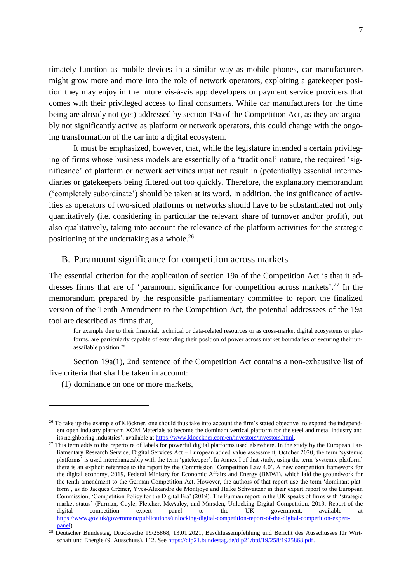timately function as mobile devices in a similar way as mobile phones, car manufacturers might grow more and more into the role of network operators, exploiting a gatekeeper position they may enjoy in the future vis-à-vis app developers or payment service providers that comes with their privileged access to final consumers. While car manufacturers for the time being are already not (yet) addressed by section 19a of the Competition Act, as they are arguably not significantly active as platform or network operators, this could change with the ongoing transformation of the car into a digital ecosystem.

It must be emphasized, however, that, while the legislature intended a certain privileging of firms whose business models are essentially of a 'traditional' nature, the required 'significance' of platform or network activities must not result in (potentially) essential intermediaries or gatekeepers being filtered out too quickly. Therefore, the explanatory memorandum ('completely subordinate') should be taken at its word. In addition, the insignificance of activities as operators of two-sided platforms or networks should have to be substantiated not only quantitatively (i.e. considering in particular the relevant share of turnover and/or profit), but also qualitatively, taking into account the relevance of the platform activities for the strategic positioning of the undertaking as a whole.<sup>26</sup>

#### <span id="page-7-0"></span>B. Paramount significance for competition across markets

The essential criterion for the application of section 19a of the Competition Act is that it addresses firms that are of 'paramount significance for competition across markets'.<sup>27</sup> In the memorandum prepared by the responsible parliamentary committee to report the finalized version of the Tenth Amendment to the Competition Act, the potential addressees of the 19a tool are described as firms that,

<span id="page-7-1"></span>for example due to their financial, technical or data-related resources or as cross-market digital ecosystems or platforms, are particularly capable of extending their position of power across market boundaries or securing their unassailable position.<sup>28</sup>

Section 19a(1), 2nd sentence of the Competition Act contains a non-exhaustive list of five criteria that shall be taken in account:

(1) dominance on one or more markets,

 $26$  To take up the example of Klöckner, one should thus take into account the firm's stated objective 'to expand the independent open industry platform XOM Materials to become the dominant vertical platform for the steel and metal industry and its neighboring industries', available at [https://www.kloeckner.com/en/investors/investors.html.](https://www.kloeckner.com/en/investors/investors.html)

<sup>&</sup>lt;sup>27</sup> This term adds to the repertoire of labels for powerful digital platforms used elsewhere. In the study by the European Parliamentary Research Service, Digital Services Act – European added value assessment, October 2020, the term 'systemic platforms' is used interchangeably with the term 'gatekeeper'. In Annex I of that study, using the term 'systemic platform' there is an explicit reference to the report by the Commission 'Competition Law 4.0', A new competition framework for the digital economy, 2019, Federal Ministry for Economic Affairs and Energy (BMWi), which laid the groundwork for the tenth amendment to the German Competition Act. However, the authors of that report use the term 'dominant platform', as do Jacques Crémer, Yves-Alexandre de Montjoye and Heike Schweitzer in their expert report to the European Commission, 'Competition Policy for the Digital Era' (2019). The Furman report in the UK speaks of firms with 'strategic market status' (Furman, Coyle, Fletcher, McAuley, and Marsden, Unlocking Digital Competition, 2019, Report of the digital competition expert panel to the UK government, available at [https://www.gov.uk/government/publications/unlocking-digital-competition-report-of-the-digital-competition-expert](https://www.gov.uk/government/publications/unlocking-digital-competition-report-of-the-digital-competition-expert-panel)[panel\)](https://www.gov.uk/government/publications/unlocking-digital-competition-report-of-the-digital-competition-expert-panel).

<sup>&</sup>lt;sup>28</sup> Deutscher Bundestag, Drucksache 19/25868, 13.01.2021, Beschlussempfehlung und Bericht des Ausschusses für Wirtschaft und Energie (9. Ausschuss), 112. See [https://dip21.bundestag.de/dip21/btd/19/258/1925868.pdf.](https://dip21.bundestag.de/dip21/btd/19/258/1925868.pdf)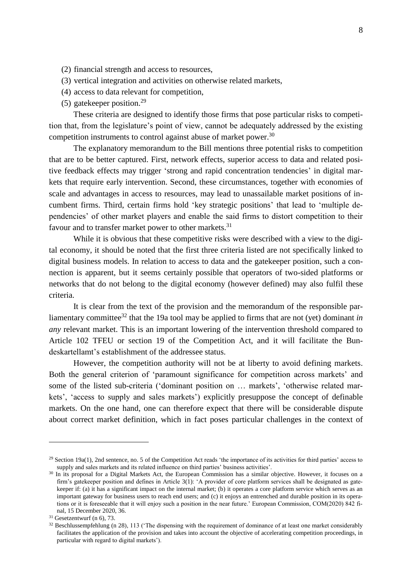- (2) financial strength and access to resources,
- (3) vertical integration and activities on otherwise related markets,
- (4) access to data relevant for competition,
- (5) gatekeeper position.<sup>29</sup>

These criteria are designed to identify those firms that pose particular risks to competition that, from the legislature's point of view, cannot be adequately addressed by the existing competition instruments to control against abuse of market power.<sup>30</sup>

The explanatory memorandum to the Bill mentions three potential risks to competition that are to be better captured. First, network effects, superior access to data and related positive feedback effects may trigger 'strong and rapid concentration tendencies' in digital markets that require early intervention. Second, these circumstances, together with economies of scale and advantages in access to resources, may lead to unassailable market positions of incumbent firms. Third, certain firms hold 'key strategic positions' that lead to 'multiple dependencies' of other market players and enable the said firms to distort competition to their favour and to transfer market power to other markets.<sup>31</sup>

<span id="page-8-0"></span>While it is obvious that these competitive risks were described with a view to the digital economy, it should be noted that the first three criteria listed are not specifically linked to digital business models. In relation to access to data and the gatekeeper position, such a connection is apparent, but it seems certainly possible that operators of two-sided platforms or networks that do not belong to the digital economy (however defined) may also fulfil these criteria.

It is clear from the text of the provision and the memorandum of the responsible parliamentary committee<sup>32</sup> that the 19a tool may be applied to firms that are not (yet) dominant *in any* relevant market. This is an important lowering of the intervention threshold compared to Article 102 TFEU or section 19 of the Competition Act, and it will facilitate the Bundeskartellamt's establishment of the addressee status.

However, the competition authority will not be at liberty to avoid defining markets. Both the general criterion of 'paramount significance for competition across markets' and some of the listed sub-criteria ('dominant position on … markets', 'otherwise related markets', 'access to supply and sales markets') explicitly presuppose the concept of definable markets. On the one hand, one can therefore expect that there will be considerable dispute about correct market definition, which in fact poses particular challenges in the context of

 $29$  Section 19a(1), 2nd sentence, no. 5 of the Competition Act reads 'the importance of its activities for third parties' access to supply and sales markets and its related influence on third parties' business activities'.

<sup>&</sup>lt;sup>30</sup> In its proposal for a Digital Markets Act, the European Commission has a similar objective. However, it focuses on a firm's gatekeeper position and defines in Article  $3(1)$ : 'A provider of core platform services shall be designated as gatekeeper if: (a) it has a significant impact on the internal market; (b) it operates a core platform service which serves as an important gateway for business users to reach end users; and (c) it enjoys an entrenched and durable position in its operations or it is foreseeable that it will enjoy such a position in the near future.' European Commission, COM(2020) 842 final, 15 December 2020, 36.

 $31$  Gesetzentwurf (n [6\)](#page-4-1), 73.

 $32$  Beschlussempfehlung (n [28\)](#page-7-1), 113 ('The dispensing with the requirement of dominance of at least one market considerably facilitates the application of the provision and takes into account the objective of accelerating competition proceedings, in particular with regard to digital markets').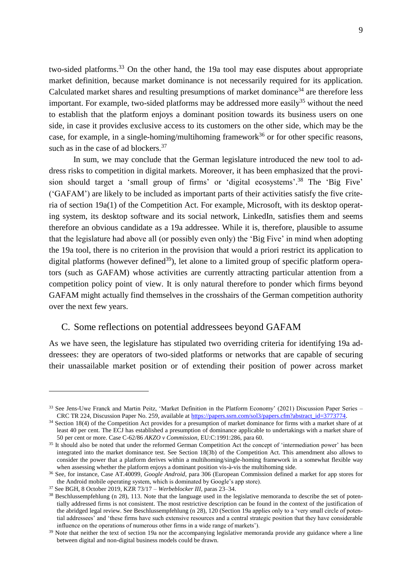two-sided platforms.<sup>33</sup> On the other hand, the 19a tool may ease disputes about appropriate market definition, because market dominance is not necessarily required for its application. Calculated market shares and resulting presumptions of market dominance<sup>34</sup> are therefore less important. For example, two-sided platforms may be addressed more easily<sup>35</sup> without the need to establish that the platform enjoys a dominant position towards its business users on one side, in case it provides exclusive access to its customers on the other side, which may be the case, for example, in a single-homing/multihoming framework<sup>36</sup> or for other specific reasons, such as in the case of ad blockers. $37$ 

In sum, we may conclude that the German legislature introduced the new tool to address risks to competition in digital markets. Moreover, it has been emphasized that the provision should target a 'small group of firms' or 'digital ecosystems'. <sup>38</sup> The 'Big Five' ('GAFAM') are likely to be included as important parts of their activities satisfy the five criteria of section 19a(1) of the Competition Act. For example, Microsoft, with its desktop operating system, its desktop software and its social network, LinkedIn, satisfies them and seems therefore an obvious candidate as a 19a addressee. While it is, therefore, plausible to assume that the legislature had above all (or possibly even only) the 'Big Five' in mind when adopting the 19a tool, there is no criterion in the provision that would a priori restrict its application to digital platforms (however defined<sup>39</sup>), let alone to a limited group of specific platform operators (such as GAFAM) whose activities are currently attracting particular attention from a competition policy point of view. It is only natural therefore to ponder which firms beyond GAFAM might actually find themselves in the crosshairs of the German competition authority over the next few years.

#### <span id="page-9-0"></span>C. Some reflections on potential addressees beyond GAFAM

As we have seen, the legislature has stipulated two overriding criteria for identifying 19a addressees: they are operators of two-sided platforms or networks that are capable of securing their unassailable market position or of extending their position of power across market

<sup>33</sup> See Jens-Uwe Franck and Martin Peitz, 'Market Definition in the Platform Economy' (2021) Discussion Paper Series – CRC TR 224, Discussion Paper No. 259, available a[t https://papers.ssrn.com/sol3/papers.cfm?abstract\\_id=3773774.](https://papers.ssrn.com/sol3/papers.cfm?abstract_id=3773774)

<sup>&</sup>lt;sup>34</sup> Section 18(4) of the Competition Act provides for a presumption of market dominance for firms with a market share of at least 40 per cent. The ECJ has established a presumption of dominance applicable to undertakings with a market share of 50 per cent or more. Case C-62/86 *AKZO v Commission*, EU:C:1991:286, para 60.

<sup>&</sup>lt;sup>35</sup> It should also be noted that under the reformed German Competition Act the concept of 'intermediation power' has been integrated into the market dominance test. See Section 18(3b) of the Competition Act. This amendment also allows to consider the power that a platform derives within a multihoming/single-homing framework in a somewhat flexible way when assessing whether the platform enjoys a dominant position vis-à-vis the multihoming side.

<sup>36</sup> See, for instance, Case AT.40099, *Google Android*, para 306 (European Commission defined a market for app stores for the Android mobile operating system, which is dominated by Google's app store).

<sup>37</sup> See BGH, 8 October 2019, KZR 73/17 – *Werbeblocker III*, paras 23–34.

<sup>&</sup>lt;sup>38</sup> Beschlussempfehlung (n [28\)](#page-7-1), 113. Note that the language used in the legislative memoranda to describe the set of potentially addressed firms is not consistent. The most restrictive description can be found in the context of the justification of the abridged legal review. See Beschlussempfehlung ([n 28\)](#page-7-1), 120 (Section 19a applies only to a 'very small circle of potential addressees' and 'these firms have such extensive resources and a central strategic position that they have considerable influence on the operations of numerous other firms in a wide range of markets').

<sup>&</sup>lt;sup>39</sup> Note that neither the text of section 19a nor the accompanying legislative memoranda provide any guidance where a line between digital and non-digital business models could be drawn.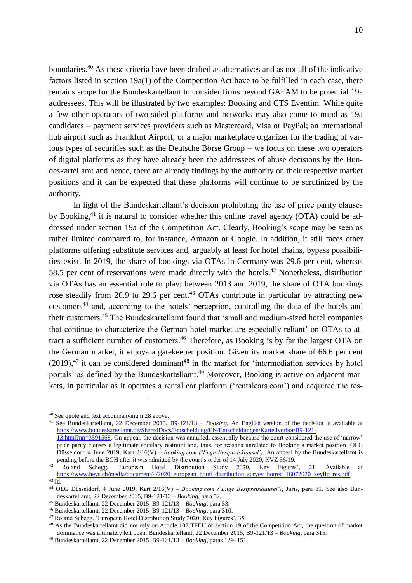boundaries.<sup>40</sup> As these criteria have been drafted as alternatives and as not all of the indicative factors listed in section 19a(1) of the Competition Act have to be fulfilled in each case, there remains scope for the Bundeskartellamt to consider firms beyond GAFAM to be potential 19a addressees. This will be illustrated by two examples: Booking and CTS Eventim. While quite a few other operators of two-sided platforms and networks may also come to mind as 19a candidates – payment services providers such as Mastercard, Visa or PayPal; an international hub airport such as Frankfurt Airport; or a major marketplace organizer for the trading of various types of securities such as the Deutsche Börse Group – we focus on these two operators of digital platforms as they have already been the addressees of abuse decisions by the Bundeskartellamt and hence, there are already findings by the authority on their respective market positions and it can be expected that these platforms will continue to be scrutinized by the authority.

In light of the Bundeskartellamt's decision prohibiting the use of price parity clauses by Booking,<sup>41</sup> it is natural to consider whether this online travel agency (OTA) could be addressed under section 19a of the Competition Act. Clearly, Booking's scope may be seen as rather limited compared to, for instance, Amazon or Google. In addition, it still faces other platforms offering substitute services and, arguably at least for hotel chains, bypass possibilities exist. In 2019, the share of bookings via OTAs in Germany was 29.6 per cent, whereas 58.5 per cent of reservations were made directly with the hotels.<sup>42</sup> Nonetheless, distribution via OTAs has an essential role to play: between 2013 and 2019, the share of OTA bookings rose steadily from 20.9 to 29.6 per cent.<sup>43</sup> OTAs contribute in particular by attracting new customers<sup>44</sup> and, according to the hotels' perception, controlling the data of the hotels and their customers.<sup>45</sup> The Bundeskartellamt found that 'small and medium-sized hotel companies that continue to characterize the German hotel market are especially reliant' on OTAs to attract a sufficient number of customers.<sup>46</sup> Therefore, as Booking is by far the largest OTA on the German market, it enjoys a gatekeeper position. Given its market share of 66.6 per cent  $(2019)$ ,<sup>47</sup> it can be considered dominant<sup>48</sup> in the market for 'intermediation services by hotel portals' as defined by the Bundeskartellamt.<sup>49</sup> Moreover, Booking is active on adjacent markets, in particular as it operates a rental car platform ('rentalcars.com') and acquired the res-

<sup>40</sup> See quote and text accompanying n [28](#page-7-1) above.

<sup>41</sup> See Bundeskartellamt, 22 December 2015, B9-121/13 – *Booking.* An English version of the decision is available at [https://www.bundeskartellamt.de/SharedDocs/Entscheidung/EN/Entscheidungen/Kartellverbot/B9-121-](https://www.bundeskartellamt.de/SharedDocs/Entscheidung/EN/Entscheidungen/Kartellverbot/B9-121-13.html?nn=3591568)

[<sup>13.</sup>html?nn=3591568.](https://www.bundeskartellamt.de/SharedDocs/Entscheidung/EN/Entscheidungen/Kartellverbot/B9-121-13.html?nn=3591568) On appeal, the decision was annulled, essentially because the court considered the use of 'narrow' price parity clauses a legitimate ancillary restraint and, thus, for reasons unrelated to Booking's market position. OLG Düsseldorf, 4 June 2019, Kart 2/16(V) – *Booking.com ('Enge Bestpreisklausel')*. An appeal by the Bundeskartellamt is pending before the BGH after it was admitted by the court's order of 14 July 2020, KVZ 56/19.

<sup>&</sup>lt;sup>42</sup> Roland Schegg, 'European Hotel Distribution Study 2020, Key Figures', 21. Available at [https://www.hevs.ch/media/document/4/2020\\_european\\_hotel\\_distribution\\_survey\\_hotrec\\_16072020\\_keyfigures.pdf](https://www.hevs.ch/media/document/4/2020_european_hotel_distribution_survey_hotrec_16072020_keyfigures.pdf)

<sup>43</sup> Id.

<sup>44</sup> OLG Düsseldorf, 4 June 2019, Kart 2/16(V) – *Booking.com ('Enge Bestpreisklausel')*, Juris, para 81. See also Bundeskartellamt, 22 December 2015, B9-121/13 – *Booking*, para 52.

<sup>45</sup> Bundeskartellamt, 22 December 2015, B9-121/13 – *Booking*, para 53.

<sup>46</sup> Bundeskartellamt, 22 December 2015, B9-121/13 – *Booking*, para 310.

<sup>47</sup> Roland Schegg, 'European Hotel Distribution Study 2020, Key Figures', 35.

<sup>48</sup> As the Bundeskartellamt did not rely on Article 102 TFEU or section 19 of the Competition Act, the question of market dominance was ultimately left open. Bundeskartellamt, 22 December 2015, B9-121/13 – *Booking*, para 315.

<sup>49</sup> Bundeskartellamt, 22 December 2015, B9-121/13 – *Booking*, paras 129–151.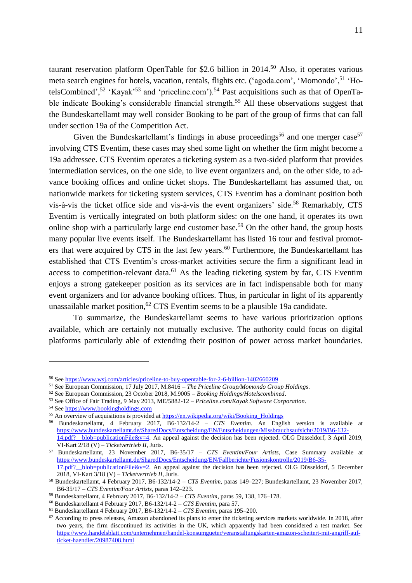taurant reservation platform OpenTable for \$2.6 billion in  $2014$ <sup>50</sup> Also, it operates various meta search engines for hotels, vacation, rentals, flights etc. ('agoda.com', 'Momondo',<sup>51</sup> 'HotelsCombined',<sup>52</sup> 'Kayak'<sup>53</sup> and 'priceline.com').<sup>54</sup> Past acquisitions such as that of OpenTable indicate Booking's considerable financial strength.<sup>55</sup> All these observations suggest that the Bundeskartellamt may well consider Booking to be part of the group of firms that can fall under section 19a of the Competition Act.

Given the Bundeskartellamt's findings in abuse proceedings<sup>56</sup> and one merger case<sup>57</sup> involving CTS Eventim, these cases may shed some light on whether the firm might become a 19a addressee. CTS Eventim operates a ticketing system as a two-sided platform that provides intermediation services, on the one side, to live event organizers and, on the other side, to advance booking offices and online ticket shops. The Bundeskartellamt has assumed that, on nationwide markets for ticketing system services, CTS Eventim has a dominant position both vis-à-vis the ticket office side and vis-à-vis the event organizers' side.<sup>58</sup> Remarkably, CTS Eventim is vertically integrated on both platform sides: on the one hand, it operates its own online shop with a particularly large end customer base.<sup>59</sup> On the other hand, the group hosts many popular live events itself. The Bundeskartellamt has listed 16 tour and festival promoters that were acquired by CTS in the last few years.<sup>60</sup> Furthermore, the Bundeskartellamt has established that CTS Eventim's cross-market activities secure the firm a significant lead in access to competition-relevant data. $61$  As the leading ticketing system by far, CTS Eventim enjoys a strong gatekeeper position as its services are in fact indispensable both for many event organizers and for advance booking offices. Thus, in particular in light of its apparently unassailable market position,<sup>62</sup> CTS Eventim seems to be a plausible 19a candidate.

To summarize, the Bundeskartellamt seems to have various prioritization options available, which are certainly not mutually exclusive. The authority could focus on digital platforms particularly able of extending their position of power across market boundaries.

<sup>50</sup> Se[e https://www.wsj.com/articles/priceline-to-buy-opentable-for-2-6-billion-1402660209](https://www.wsj.com/articles/priceline-to-buy-opentable-for-2-6-billion-1402660209)

<sup>51</sup> See European Commission, 17 July 2017, M.8416 – *The Priceline Group/Momondo Group Holdings*.

<sup>52</sup> See European Commission, 23 October 2018, M.9005 – *Booking Holdings/Hotelscombined*.

<sup>53</sup> See Office of Fair Trading, 9 May 2013, ME/5882-12 – *Priceline.com/Kayak Software Corporation*.

<sup>54</sup> Se[e https://www.bookingholdings.com](https://www.bookingholdings.com/)

<sup>&</sup>lt;sup>55</sup> An overview of acquisitions is provided a[t https://en.wikipedia.org/wiki/Booking\\_Holdings](https://en.wikipedia.org/wiki/Booking_Holdings)

<sup>56</sup> Bundeskartellamt, 4 February 2017, B6-132/14-2 – *CTS Eventim*. An English version is available at [https://www.bundeskartellamt.de/SharedDocs/Entscheidung/EN/Entscheidungen/Missbrauchsaufsicht/2019/B6-132-](https://www.bundeskartellamt.de/SharedDocs/Entscheidung/EN/Entscheidungen/Missbrauchsaufsicht/2019/B6-132-14.pdf?__blob=publicationFile&v=4) [14.pdf?\\_\\_blob=publicationFile&v=4.](https://www.bundeskartellamt.de/SharedDocs/Entscheidung/EN/Entscheidungen/Missbrauchsaufsicht/2019/B6-132-14.pdf?__blob=publicationFile&v=4) An appeal against the decision has been rejected. OLG Düsseldorf, 3 April 2019, VI-Kart 2/18 (V) – *Ticketvertrieb II*, Juris.

<sup>57</sup> Bundeskartellamt, 23 November 2017, B6-35/17 – *CTS Eventim/Four Artists*, Case Summary available at [https://www.bundeskartellamt.de/SharedDocs/Entscheidung/EN/Fallberichte/Fusionskontrolle/2019/B6-35-](https://www.bundeskartellamt.de/SharedDocs/Entscheidung/EN/Fallberichte/Fusionskontrolle/2019/B6-35-17.pdf?__blob=publicationFile&v=2) 17.pdf? blob=publicationFile&v=2. An appeal against the decision has been rejected. OLG Düsseldorf, 5 December 2018, VI-Kart 3/18 (V) – *Ticketvertrieb II*, Juris.

<sup>58</sup> Bundeskartellamt, 4 February 2017, B6-132/14-2 – *CTS Eventim*, paras 149–227; Bundeskartellamt, 23 November 2017, B6-35/17 – *CTS Eventim/Four Artists*, paras 142–223.

<sup>59</sup> Bundeskartellamt, 4 February 2017, B6-132/14-2 – *CTS Eventim*, paras 59, 138, 176–178.

<sup>60</sup> Bundeskartellamt 4 February 2017, B6-132/14-2 – *CTS Eventim*, para 57.

<sup>61</sup> Bundeskartellamt 4 February 2017, B6-132/14-2 – *CTS Eventim*, paras 195–200.

 $62$  According to press releases, Amazon abandoned its plans to enter the ticketing services markets worldwide. In 2018, after two years, the firm discontinued its activities in the UK, which apparently had been considered a test market. See [https://www.handelsblatt.com/unternehmen/handel-konsumgueter/veranstaltungskarten-amazon-scheitert-mit-angriff-auf](https://www.handelsblatt.com/unternehmen/handel-konsumgueter/veranstaltungskarten-amazon-scheitert-mit-angriff-auf-ticket-haendler/20987408.html)[ticket-haendler/20987408.html](https://www.handelsblatt.com/unternehmen/handel-konsumgueter/veranstaltungskarten-amazon-scheitert-mit-angriff-auf-ticket-haendler/20987408.html)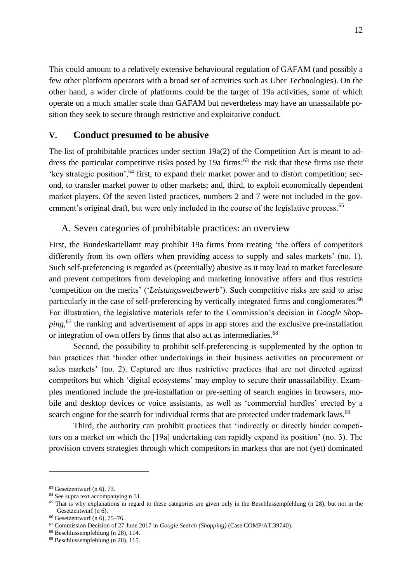This could amount to a relatively extensive behavioural regulation of GAFAM (and possibly a few other platform operators with a broad set of activities such as Uber Technologies). On the other hand, a wider circle of platforms could be the target of 19a activities, some of which operate on a much smaller scale than GAFAM but nevertheless may have an unassailable position they seek to secure through restrictive and exploitative conduct.

## <span id="page-12-0"></span>**V. Conduct presumed to be abusive**

The list of prohibitable practices under section 19a(2) of the Competition Act is meant to address the particular competitive risks posed by 19a firms: $63$  the risk that these firms use their 'key strategic position',<sup>64</sup> first, to expand their market power and to distort competition; second, to transfer market power to other markets; and, third, to exploit economically dependent market players. Of the seven listed practices, numbers 2 and 7 were not included in the government's original draft, but were only included in the course of the legislative process.<sup>65</sup>

## <span id="page-12-1"></span>A. Seven categories of prohibitable practices: an overview

First, the Bundeskartellamt may prohibit 19a firms from treating 'the offers of competitors differently from its own offers when providing access to supply and sales markets' (no. 1). Such self-preferencing is regarded as (potentially) abusive as it may lead to market foreclosure and prevent competitors from developing and marketing innovative offers and thus restricts 'competition on the merits' ('*Leistungswettbewerb*'). Such competitive risks are said to arise particularly in the case of self-preferencing by vertically integrated firms and conglomerates.<sup>66</sup> For illustration, the legislative materials refer to the Commission's decision in *Google Shopping*, <sup>67</sup> the ranking and advertisement of apps in app stores and the exclusive pre-installation or integration of own offers by firms that also act as intermediaries.<sup>68</sup>

Second, the possibility to prohibit self-preferencing is supplemented by the option to ban practices that 'hinder other undertakings in their business activities on procurement or sales markets' (no. 2). Captured are thus restrictive practices that are not directed against competitors but which 'digital ecosystems' may employ to secure their unassailability. Examples mentioned include the pre-installation or pre-setting of search engines in browsers, mobile and desktop devices or voice assistants, as well as 'commercial hurdles' erected by a search engine for the search for individual terms that are protected under trademark laws.<sup>69</sup>

Third, the authority can prohibit practices that 'indirectly or directly hinder competitors on a market on which the [19a] undertaking can rapidly expand its position' (no. 3). The provision covers strategies through which competitors in markets that are not (yet) dominated

<u>.</u>

<sup>63</sup> Gesetzentwurf (n [6\)](#page-4-1), 73.

<sup>64</sup> See supra text accompanying n [31.](#page-8-0)

 $65$  That is why explanations in regard to these categories are given only in the Beschlussempfehlung (n [28\)](#page-7-1), but not in the Gesetzentwurf ([n 6\)](#page-4-1).

<sup>66</sup> Gesetzentwurf (n [6\)](#page-4-1), 75–76.

<sup>67</sup> Commission Decision of 27 June 2017 in *Google Search (Shopping)* (Case COMP/AT.39740).

<sup>68</sup> Beschlussempfehlung (n [28\)](#page-7-1), 114.

<sup>69</sup> Beschlussempfehlung (n [28\)](#page-7-1), 115.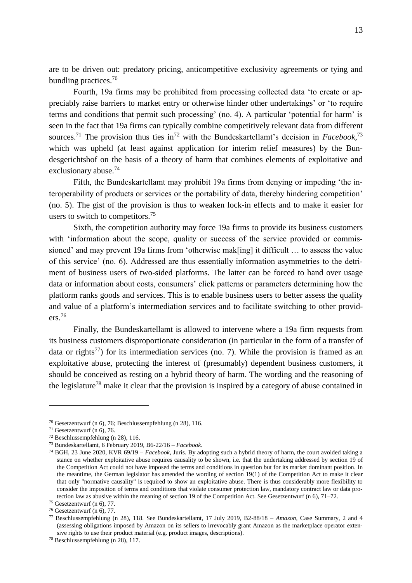are to be driven out: predatory pricing, anticompetitive exclusivity agreements or tying and bundling practices.<sup>70</sup>

Fourth, 19a firms may be prohibited from processing collected data 'to create or appreciably raise barriers to market entry or otherwise hinder other undertakings' or 'to require terms and conditions that permit such processing' (no. 4). A particular 'potential for harm' is seen in the fact that 19a firms can typically combine competitively relevant data from different sources.<sup>71</sup> The provision thus ties in<sup>72</sup> with the Bundeskartellamt's decision in *Facebook*,<sup>73</sup> which was upheld (at least against application for interim relief measures) by the Bundesgerichtshof on the basis of a theory of harm that combines elements of exploitative and exclusionary abuse.<sup>74</sup>

Fifth, the Bundeskartellamt may prohibit 19a firms from denying or impeding 'the interoperability of products or services or the portability of data, thereby hindering competition' (no. 5). The gist of the provision is thus to weaken lock-in effects and to make it easier for users to switch to competitors.<sup>75</sup>

Sixth, the competition authority may force 19a firms to provide its business customers with 'information about the scope, quality or success of the service provided or commissioned' and may prevent 19a firms from 'otherwise mak[ing] it difficult … to assess the value of this service' (no. 6). Addressed are thus essentially information asymmetries to the detriment of business users of two-sided platforms. The latter can be forced to hand over usage data or information about costs, consumers' click patterns or parameters determining how the platform ranks goods and services. This is to enable business users to better assess the quality and value of a platform's intermediation services and to facilitate switching to other providers.<sup>76</sup>

Finally, the Bundeskartellamt is allowed to intervene where a 19a firm requests from its business customers disproportionate consideration (in particular in the form of a transfer of data or rights<sup>77</sup>) for its intermediation services (no. 7). While the provision is framed as an exploitative abuse, protecting the interest of (presumably) dependent business customers, it should be conceived as resting on a hybrid theory of harm. The wording and the reasoning of the legislature<sup>78</sup> make it clear that the provision is inspired by a category of abuse contained in

<sup>70</sup> Gesetzentwurf (n [6\)](#page-4-1), 76; Beschlussempfehlung (n [28\)](#page-7-1), 116.

 $71$  Gesetzentwurf (n [6\)](#page-4-1), 76.

<sup>72</sup> Beschlussempfehlung (n [28\)](#page-7-1), 116.

<sup>73</sup> Bundeskartellamt, 6 February 2019, B6-22/16 – *Facebook*.

<sup>74</sup> BGH, 23 June 2020, KVR 69/19 – *Facebook*, Juris. By adopting such a hybrid theory of harm, the court avoided taking a stance on whether exploitative abuse requires causality to be shown, i.e. that the undertaking addressed by section 19 of the Competition Act could not have imposed the terms and conditions in question but for its market dominant position. In the meantime, the German legislator has amended the wording of section 19(1) of the Competition Act to make it clear that only "normative causality" is required to show an exploitative abuse. There is thus considerably more flexibility to consider the imposition of terms and conditions that violate consumer protection law, mandatory contract law or data protection law as abusive within the meaning of section 19 of the Competition Act. See Gesetzentwurf ([n 6\)](#page-4-1), 71–72.

<sup>75</sup> Gesetzentwurf (n [6\)](#page-4-1), 77.

<sup>76</sup> Gesetzentwurf (n [6\)](#page-4-1), 77.

<sup>77</sup> Beschlussempfehlung (n [28\)](#page-7-1), 118. See Bundeskartellamt, 17 July 2019, B2-88/18 – *Amazon*, Case Summary, 2 and 4 (assessing obligations imposed by Amazon on its sellers to irrevocably grant Amazon as the marketplace operator extensive rights to use their product material (e.g. product images, descriptions).

<sup>78</sup> Beschlussempfehlung (n [28\)](#page-7-1), 117.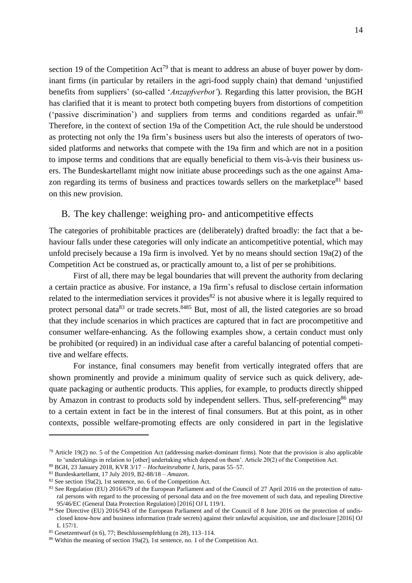section 19 of the Competition  $Act^{79}$  that is meant to address an abuse of buyer power by dominant firms (in particular by retailers in the agri-food supply chain) that demand 'unjustified benefits from suppliers' (so-called '*Anzapfverbot'*). Regarding this latter provision, the BGH has clarified that it is meant to protect both competing buyers from distortions of competition ('passive discrimination') and suppliers from terms and conditions regarded as unfair.<sup>80</sup> Therefore, in the context of section 19a of the Competition Act, the rule should be understood as protecting not only the 19a firm's business users but also the interests of operators of twosided platforms and networks that compete with the 19a firm and which are not in a position to impose terms and conditions that are equally beneficial to them vis-à-vis their business users. The Bundeskartellamt might now initiate abuse proceedings such as the one against Amazon regarding its terms of business and practices towards sellers on the marketplace<sup>81</sup> based on this new provision.

### <span id="page-14-0"></span>B. The key challenge: weighing pro- and anticompetitive effects

The categories of prohibitable practices are (deliberately) drafted broadly: the fact that a behaviour falls under these categories will only indicate an anticompetitive potential, which may unfold precisely because a 19a firm is involved. Yet by no means should section 19a(2) of the Competition Act be construed as, or practically amount to, a list of per se prohibitions.

First of all, there may be legal boundaries that will prevent the authority from declaring a certain practice as abusive. For instance, a 19a firm's refusal to disclose certain information related to the intermediation services it provides<sup>82</sup> is not abusive where it is legally required to protect personal data<sup>83</sup> or trade secrets.<sup>8485</sup> But, most of all, the listed categories are so broad that they include scenarios in which practices are captured that in fact are procompetitive and consumer welfare-enhancing. As the following examples show, a certain conduct must only be prohibited (or required) in an individual case after a careful balancing of potential competitive and welfare effects.

For instance, final consumers may benefit from vertically integrated offers that are shown prominently and provide a minimum quality of service such as quick delivery, adequate packaging or authentic products. This applies, for example, to products directly shipped by Amazon in contrast to products sold by independent sellers. Thus, self-preferencing<sup>86</sup> may to a certain extent in fact be in the interest of final consumers. But at this point, as in other contexts, possible welfare-promoting effects are only considered in part in the legislative

 $79$  Article 19(2) no. 5 of the Competition Act (addressing market-dominant firms). Note that the provision is also applicable to 'undertakings in relation to [other] undertaking which depend on them'. Article 20(2) of the Competition Act.

<sup>80</sup> BGH, 23 January 2018, KVR 3/17 – *Hochzeitsrabatte I*, Juris, paras 55–57.

<sup>81</sup> Bundeskartellamt, 17 July 2019, B2-88/18 – *Amazon*.

<sup>82</sup> See section 19a(2), 1st sentence, no. 6 of the Competition Act.

<sup>83</sup> See Regulation (EU) 2016/679 of the European Parliament and of the Council of 27 April 2016 on the protection of natural persons with regard to the processing of personal data and on the free movement of such data, and repealing Directive 95/46/EC (General Data Protection Regulation) [2016] OJ L 119/1.

<sup>&</sup>lt;sup>84</sup> See Directive (EU) 2016/943 of the European Parliament and of the Council of 8 June 2016 on the protection of undisclosed know-how and business information (trade secrets) against their unlawful acquisition, use and disclosure [2016] OJ L 157/1.

<sup>85</sup> Gesetzentwurf (n [6\)](#page-4-1), 77; Beschlussempfehlung (n [28\)](#page-7-1), 113–114.

<sup>86</sup> Within the meaning of section 19a(2), 1st sentence, no. 1 of the Competition Act.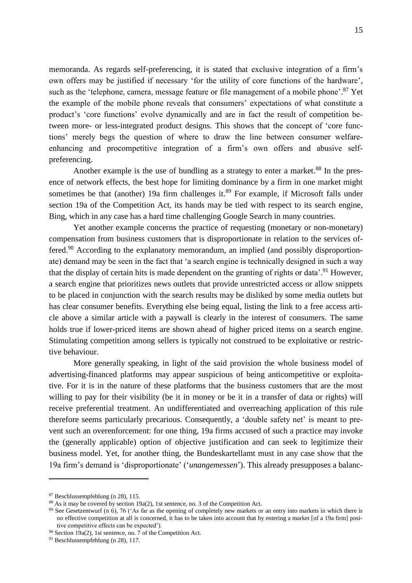memoranda. As regards self-preferencing, it is stated that exclusive integration of a firm's own offers may be justified if necessary 'for the utility of core functions of the hardware', such as the 'telephone, camera, message feature or file management of a mobile phone'.<sup>87</sup> Yet the example of the mobile phone reveals that consumers' expectations of what constitute a product's 'core functions' evolve dynamically and are in fact the result of competition between more- or less-integrated product designs. This shows that the concept of 'core functions' merely begs the question of where to draw the line between consumer welfareenhancing and procompetitive integration of a firm's own offers and abusive selfpreferencing.

Another example is the use of bundling as a strategy to enter a market.<sup>88</sup> In the presence of network effects, the best hope for limiting dominance by a firm in one market might sometimes be that (another) 19a firm challenges it. $89$  For example, if Microsoft falls under section 19a of the Competition Act, its hands may be tied with respect to its search engine, Bing, which in any case has a hard time challenging Google Search in many countries.

Yet another example concerns the practice of requesting (monetary or non-monetary) compensation from business customers that is disproportionate in relation to the services offered.<sup>90</sup> According to the explanatory memorandum, an implied (and possibly disproportionate) demand may be seen in the fact that 'a search engine is technically designed in such a way that the display of certain hits is made dependent on the granting of rights or data'.<sup>91</sup> However, a search engine that prioritizes news outlets that provide unrestricted access or allow snippets to be placed in conjunction with the search results may be disliked by some media outlets but has clear consumer benefits. Everything else being equal, listing the link to a free access article above a similar article with a paywall is clearly in the interest of consumers. The same holds true if lower-priced items are shown ahead of higher priced items on a search engine. Stimulating competition among sellers is typically not construed to be exploitative or restrictive behaviour.

More generally speaking, in light of the said provision the whole business model of advertising-financed platforms may appear suspicious of being anticompetitive or exploitative. For it is in the nature of these platforms that the business customers that are the most willing to pay for their visibility (be it in money or be it in a transfer of data or rights) will receive preferential treatment. An undifferentiated and overreaching application of this rule therefore seems particularly precarious. Consequently, a 'double safety net' is meant to prevent such an overenforcement: for one thing, 19a firms accused of such a practice may invoke the (generally applicable) option of objective justification and can seek to legitimize their business model. Yet, for another thing, the Bundeskartellamt must in any case show that the 19a firm's demand is 'disproportionate' ('*unangemessen*'). This already presupposes a balanc-

<sup>87</sup> Beschlussempfehlung (n [28\)](#page-7-1), 115.

<sup>88</sup> As it may be covered by section 19a(2), 1st sentence, no. 3 of the Competition Act.

<sup>89</sup> See Gesetzentwurf (n [6\)](#page-4-1), 76 ('As far as the opening of completely new markets or an entry into markets in which there is no effective competition at all is concerned, it has to be taken into account that by entering a market [of a 19a firm] positive competitive effects can be expected').

<sup>&</sup>lt;sup>90</sup> Section 19 $a(2)$ , 1st sentence, no. 7 of the Competition Act.

<sup>91</sup> Beschlussempfehlung (n [28\)](#page-7-1), 117.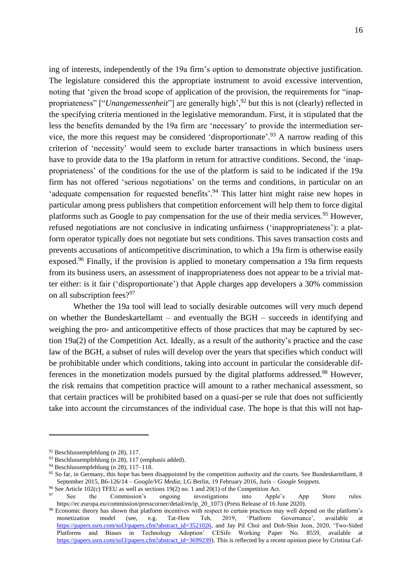ing of interests, independently of the 19a firm's option to demonstrate objective justification. The legislature considered this the appropriate instrument to avoid excessive intervention, noting that 'given the broad scope of application of the provision, the requirements for "inappropriateness" ["*Unangemessenheit*"] are generally high', <sup>92</sup> but this is not (clearly) reflected in the specifying criteria mentioned in the legislative memorandum. First, it is stipulated that the less the benefits demanded by the 19a firm are 'necessary' to provide the intermediation service, the more this request may be considered 'disproportionate'.<sup>93</sup> A narrow reading of this criterion of 'necessity' would seem to exclude barter transactions in which business users have to provide data to the 19a platform in return for attractive conditions. Second, the 'inappropriateness' of the conditions for the use of the platform is said to be indicated if the 19a firm has not offered 'serious negotiations' on the terms and conditions, in particular on an 'adequate compensation for requested benefits'.<sup>94</sup> This latter hint might raise new hopes in particular among press publishers that competition enforcement will help them to force digital platforms such as Google to pay compensation for the use of their media services.<sup>95</sup> However, refused negotiations are not conclusive in indicating unfairness ('inappropriateness'): a platform operator typically does not negotiate but sets conditions. This saves transaction costs and prevents accusations of anticompetitive discrimination, to which a 19a firm is otherwise easily exposed.<sup>96</sup> Finally, if the provision is applied to monetary compensation a 19a firm requests from its business users, an assessment of inappropriateness does not appear to be a trivial matter either: is it fair ('disproportionate') that Apple charges app developers a 30% commission on all subscription fees?<sup>97</sup>

Whether the 19a tool will lead to socially desirable outcomes will very much depend on whether the Bundeskartellamt – and eventually the BGH – succeeds in identifying and weighing the pro- and anticompetitive effects of those practices that may be captured by section 19a(2) of the Competition Act. Ideally, as a result of the authority's practice and the case law of the BGH, a subset of rules will develop over the years that specifies which conduct will be prohibitable under which conditions, taking into account in particular the considerable differences in the monetization models pursued by the digital platforms addressed.<sup>98</sup> However, the risk remains that competition practice will amount to a rather mechanical assessment, so that certain practices will be prohibited based on a quasi-per se rule that does not sufficiently take into account the circumstances of the individual case. The hope is that this will not hap-

<sup>92</sup> Beschlussempfehlung (n [28\)](#page-7-1), 117.

<sup>93</sup> Beschlussempfehlung (n [28\)](#page-7-1), 117 (emphasis added).

<sup>94</sup> Beschlussempfehlung (n [28\)](#page-7-1), 117–118.

 $95$  So far, in Germany, this hope has been disappointed by the competition authority and the courts. See Bundeskartellamt, 8 September 2015, B6-126/14 – *Google/VG Media*; LG Berlin, 19 February 2016, Juris – *Google Snippets*.

<sup>&</sup>lt;sup>96</sup> See Article 102(c) TFEU as well as sections 19(2) no. 1 and 20(1) of the Competition Act.<br><sup>97</sup> See the Commission's ongoing investigations into Apple'

See the Commission's ongoing investigations into Apple's App Store rules. https://ec.europa.eu/commission/presscorner/detail/en/ip\_20\_1073 (Press Release of 16 June 2020).

<sup>&</sup>lt;sup>98</sup> Economic theory has shown that platform incentives with respect to certain practices may well depend on the platform's monetization model (see, e.g. Tat-How Teh, 2019, 'Platform Governance', available at monetization model (see, e.g. Tat-How Teh, 2019, 'Platform Governance', available at [https://papers.ssrn.com/sol3/papers.cfm?abstract\\_id=3521026,](https://papers.ssrn.com/sol3/papers.cfm?abstract_id=3521026) and Jay Pil Choi and Doh-Shin Jeon, 2020, 'Two-Sided Platforms and Biases in Technology Adoption' CESifo Working Paper No. 8559, available at [https://papers.ssrn.com/sol3/papers.cfm?abstract\\_id=3699239\)](https://papers.ssrn.com/sol3/papers.cfm?abstract_id=3699239). This is reflected by a recent opinion piece by Cristina Caf-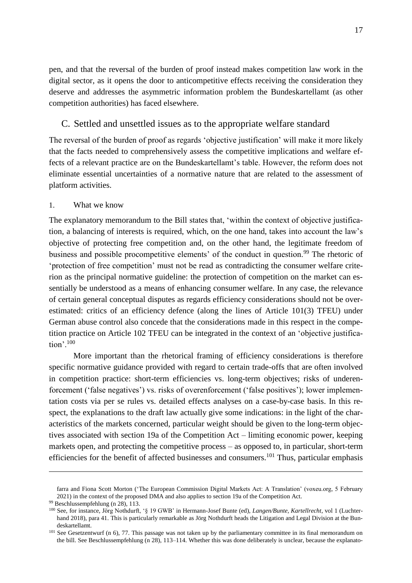pen, and that the reversal of the burden of proof instead makes competition law work in the digital sector, as it opens the door to anticompetitive effects receiving the consideration they deserve and addresses the asymmetric information problem the Bundeskartellamt (as other competition authorities) has faced elsewhere.

### <span id="page-17-0"></span>C. Settled and unsettled issues as to the appropriate welfare standard

The reversal of the burden of proof as regards 'objective justification' will make it more likely that the facts needed to comprehensively assess the competitive implications and welfare effects of a relevant practice are on the Bundeskartellamt's table. However, the reform does not eliminate essential uncertainties of a normative nature that are related to the assessment of platform activities.

### <span id="page-17-1"></span>1. What we know

The explanatory memorandum to the Bill states that, 'within the context of objective justification, a balancing of interests is required, which, on the one hand, takes into account the law's objective of protecting free competition and, on the other hand, the legitimate freedom of business and possible procompetitive elements' of the conduct in question.<sup>99</sup> The rhetoric of 'protection of free competition' must not be read as contradicting the consumer welfare criterion as the principal normative guideline: the protection of competition on the market can essentially be understood as a means of enhancing consumer welfare. In any case, the relevance of certain general conceptual disputes as regards efficiency considerations should not be overestimated: critics of an efficiency defence (along the lines of Article 101(3) TFEU) under German abuse control also concede that the considerations made in this respect in the competition practice on Article 102 TFEU can be integrated in the context of an 'objective justification'.<sup>100</sup>

More important than the rhetorical framing of efficiency considerations is therefore specific normative guidance provided with regard to certain trade-offs that are often involved in competition practice: short-term efficiencies vs. long-term objectives; risks of underenforcement ('false negatives') vs. risks of overenforcement ('false positives'); lower implementation costs via per se rules vs. detailed effects analyses on a case-by-case basis. In this respect, the explanations to the draft law actually give some indications: in the light of the characteristics of the markets concerned, particular weight should be given to the long-term objectives associated with section 19a of the Competition Act – limiting economic power, keeping markets open, and protecting the competitive process – as opposed to, in particular, short-term efficiencies for the benefit of affected businesses and consumers.<sup>101</sup> Thus, particular emphasis

 $\overline{a}$ 

farra and Fiona Scott Morton ('The European Commission Digital Markets Act: A Translation' (voxeu.org, 5 February 2021) in the context of the proposed DMA and also applies to section 19a of the Competition Act.

<sup>99</sup> Beschlussempfehlung (n [28\)](#page-7-1), 113.

<sup>100</sup> See, for instance, Jörg Nothdurft, '§ 19 GWB' in Hermann-Josef Bunte (ed), *Langen/Bunte, Kartellrecht*, vol 1 (Luchterhand 2018), para 41. This is particularly remarkable as Jörg Nothdurft heads the Litigation and Legal Division at the Bundeskartellamt.

 $101$  See Gesetzentwurf (n [6\)](#page-4-1), 77. This passage was not taken up by the parliamentary committee in its final memorandum on the bill. See Beschlussempfehlung (n [28\)](#page-7-1), 113–114. Whether this was done deliberately is unclear, because the explanato-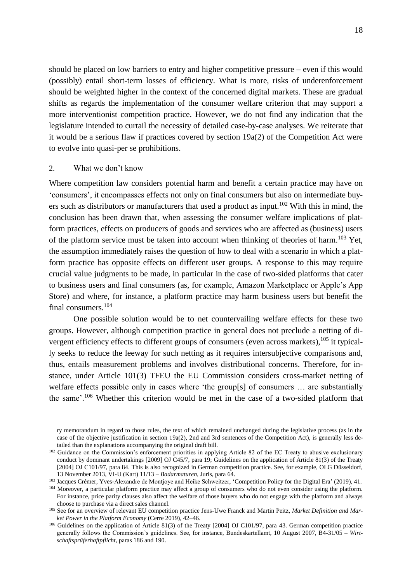should be placed on low barriers to entry and higher competitive pressure – even if this would (possibly) entail short-term losses of efficiency. What is more, risks of underenforcement should be weighted higher in the context of the concerned digital markets. These are gradual shifts as regards the implementation of the consumer welfare criterion that may support a more interventionist competition practice. However, we do not find any indication that the legislature intended to curtail the necessity of detailed case-by-case analyses. We reiterate that it would be a serious flaw if practices covered by section 19a(2) of the Competition Act were to evolve into quasi-per se prohibitions.

#### <span id="page-18-0"></span>2. What we don't know

 $\overline{a}$ 

Where competition law considers potential harm and benefit a certain practice may have on 'consumers', it encompasses effects not only on final consumers but also on intermediate buyers such as distributors or manufacturers that used a product as input.<sup>102</sup> With this in mind, the conclusion has been drawn that, when assessing the consumer welfare implications of platform practices, effects on producers of goods and services who are affected as (business) users of the platform service must be taken into account when thinking of theories of harm.<sup>103</sup> Yet, the assumption immediately raises the question of how to deal with a scenario in which a platform practice has opposite effects on different user groups. A response to this may require crucial value judgments to be made, in particular in the case of two-sided platforms that cater to business users and final consumers (as, for example, Amazon Marketplace or Apple's App Store) and where, for instance, a platform practice may harm business users but benefit the final consumers.<sup>104</sup>

One possible solution would be to net countervailing welfare effects for these two groups. However, although competition practice in general does not preclude a netting of divergent efficiency effects to different groups of consumers (even across markets), <sup>105</sup> it typically seeks to reduce the leeway for such netting as it requires intersubjective comparisons and, thus, entails measurement problems and involves distributional concerns. Therefore, for instance, under Article 101(3) TFEU the EU Commission considers cross-market netting of welfare effects possible only in cases where 'the group[s] of consumers … are substantially the same'.<sup>106</sup> Whether this criterion would be met in the case of a two-sided platform that

ry memorandum in regard to those rules, the text of which remained unchanged during the legislative process (as in the case of the objective justification in section 19a(2), 2nd and 3rd sentences of the Competition Act), is generally less detailed than the explanations accompanying the original draft bill.

<sup>&</sup>lt;sup>102</sup> Guidance on the Commission's enforcement priorities in applying Article 82 of the EC Treaty to abusive exclusionary conduct by dominant undertakings [2009] OJ C45/7, para 19; Guidelines on the application of Article 81(3) of the Treaty [2004] OJ C101/97, para 84. This is also recognized in German competition practice. See, for example, OLG Düsseldorf, 13 November 2013, VI-U (Kart) 11/13 – *Badarmaturen*, Juris, para 64.

<sup>103</sup> Jacques Crémer, Yves-Alexandre de Montjoye and Heike Schweitzer, 'Competition Policy for the Digital Era' (2019), 41.

<sup>104</sup> Moreover, a particular platform practice may affect a group of consumers who do not even consider using the platform. For instance, price parity clauses also affect the welfare of those buyers who do not engage with the platform and always choose to purchase via a direct sales channel.

<sup>&</sup>lt;sup>105</sup> See for an overview of relevant EU competition practice Jens-Uwe Franck and Martin Peitz, Market Definition and Mar*ket Power in the Platform Economy* (Cerre 2019), 42–46.

<sup>&</sup>lt;sup>106</sup> Guidelines on the application of Article 81(3) of the Treaty [2004] OJ C101/97, para 43. German competition practice generally follows the Commission's guidelines. See, for instance, Bundeskartellamt, 10 August 2007, B4-31/05 – *Wirtschaftsprüferhaftpflicht*, paras 186 and 190.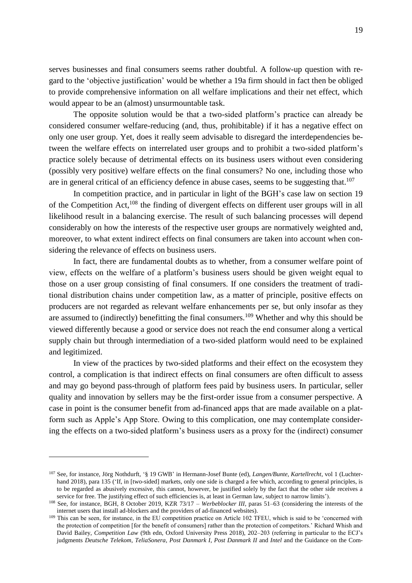serves businesses and final consumers seems rather doubtful. A follow-up question with regard to the 'objective justification' would be whether a 19a firm should in fact then be obliged to provide comprehensive information on all welfare implications and their net effect, which would appear to be an (almost) unsurmountable task.

The opposite solution would be that a two-sided platform's practice can already be considered consumer welfare-reducing (and, thus, prohibitable) if it has a negative effect on only one user group. Yet, does it really seem advisable to disregard the interdependencies between the welfare effects on interrelated user groups and to prohibit a two-sided platform's practice solely because of detrimental effects on its business users without even considering (possibly very positive) welfare effects on the final consumers? No one, including those who are in general critical of an efficiency defence in abuse cases, seems to be suggesting that.<sup>107</sup>

In competition practice, and in particular in light of the BGH's case law on section 19 of the Competition Act,<sup>108</sup> the finding of divergent effects on different user groups will in all likelihood result in a balancing exercise. The result of such balancing processes will depend considerably on how the interests of the respective user groups are normatively weighted and, moreover, to what extent indirect effects on final consumers are taken into account when considering the relevance of effects on business users.

In fact, there are fundamental doubts as to whether, from a consumer welfare point of view, effects on the welfare of a platform's business users should be given weight equal to those on a user group consisting of final consumers. If one considers the treatment of traditional distribution chains under competition law, as a matter of principle, positive effects on producers are not regarded as relevant welfare enhancements per se, but only insofar as they are assumed to (indirectly) benefitting the final consumers.<sup>109</sup> Whether and why this should be viewed differently because a good or service does not reach the end consumer along a vertical supply chain but through intermediation of a two-sided platform would need to be explained and legitimized.

In view of the practices by two-sided platforms and their effect on the ecosystem they control, a complication is that indirect effects on final consumers are often difficult to assess and may go beyond pass-through of platform fees paid by business users. In particular, seller quality and innovation by sellers may be the first-order issue from a consumer perspective. A case in point is the consumer benefit from ad-financed apps that are made available on a platform such as Apple's App Store. Owing to this complication, one may contemplate considering the effects on a two-sided platform's business users as a proxy for the (indirect) consumer

<sup>107</sup> See, for instance, Jörg Nothdurft, '§ 19 GWB' in Hermann-Josef Bunte (ed), *Langen/Bunte, Kartellrecht*, vol 1 (Luchterhand 2018), para 135 ('If, in [two-sided] markets, only one side is charged a fee which, according to general principles, is to be regarded as abusively excessive, this cannot, however, be justified solely by the fact that the other side receives a service for free. The justifying effect of such efficiencies is, at least in German law, subject to narrow limits').

<sup>108</sup> See, for instance, BGH, 8 October 2019, KZR 73/17 – *Werbeblocker III*, paras 51–63 (considering the interests of the internet users that install ad-blockers and the providers of ad-financed websites).

<sup>&</sup>lt;sup>109</sup> This can be seen, for instance, in the EU competition practice on Article 102 TFEU, which is said to be 'concerned with the protection of competition [for the benefit of consumers] rather than the protection of competitors.' Richard Whish and David Bailey, *Competition Law* (9th edn, Oxford University Press 2018), 202–203 (referring in particular to the ECJ's judgments *Deutsche Telekom*, *TeliaSonera*, *Post Danmark I*, *Post Danmark II* and *Intel* and the Guidance on the Com-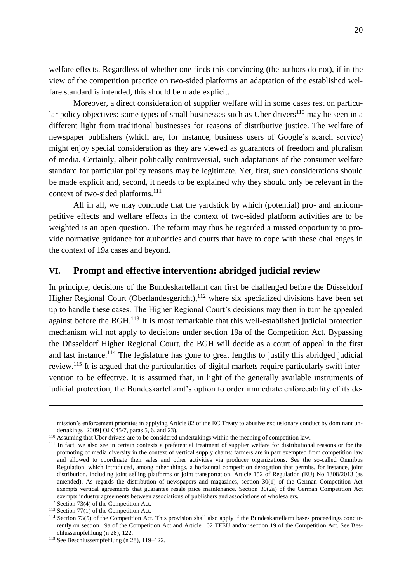welfare effects. Regardless of whether one finds this convincing (the authors do not), if in the view of the competition practice on two-sided platforms an adaptation of the established welfare standard is intended, this should be made explicit.

Moreover, a direct consideration of supplier welfare will in some cases rest on particular policy objectives: some types of small businesses such as Uber drivers<sup>110</sup> may be seen in a different light from traditional businesses for reasons of distributive justice. The welfare of newspaper publishers (which are, for instance, business users of Google's search service) might enjoy special consideration as they are viewed as guarantors of freedom and pluralism of media. Certainly, albeit politically controversial, such adaptations of the consumer welfare standard for particular policy reasons may be legitimate. Yet, first, such considerations should be made explicit and, second, it needs to be explained why they should only be relevant in the context of two-sided platforms. 111

All in all, we may conclude that the yardstick by which (potential) pro- and anticompetitive effects and welfare effects in the context of two-sided platform activities are to be weighted is an open question. The reform may thus be regarded a missed opportunity to provide normative guidance for authorities and courts that have to cope with these challenges in the context of 19a cases and beyond.

## <span id="page-20-0"></span>**VI. Prompt and effective intervention: abridged judicial review**

In principle, decisions of the Bundeskartellamt can first be challenged before the Düsseldorf Higher Regional Court (Oberlandesgericht), $112$  where six specialized divisions have been set up to handle these cases. The Higher Regional Court's decisions may then in turn be appealed against before the BGH.<sup>113</sup> It is most remarkable that this well-established judicial protection mechanism will not apply to decisions under section 19a of the Competition Act. Bypassing the Düsseldorf Higher Regional Court, the BGH will decide as a court of appeal in the first and last instance.<sup>114</sup> The legislature has gone to great lengths to justify this abridged judicial review.<sup>115</sup> It is argued that the particularities of digital markets require particularly swift intervention to be effective. It is assumed that, in light of the generally available instruments of judicial protection, the Bundeskartellamt's option to order immediate enforceability of its de-

 $\overline{a}$ 

mission's enforcement priorities in applying Article 82 of the EC Treaty to abusive exclusionary conduct by dominant undertakings [2009] OJ C45/7, paras 5, 6, and 23).

<sup>&</sup>lt;sup>110</sup> Assuming that Uber drivers are to be considered undertakings within the meaning of competition law.

<sup>&</sup>lt;sup>111</sup> In fact, we also see in certain contexts a preferential treatment of supplier welfare for distributional reasons or for the promoting of media diversity in the context of vertical supply chains: farmers are in part exempted from competition law and allowed to coordinate their sales and other activities via producer organizations. See the so-called Omnibus Regulation, which introduced, among other things, a horizontal competition derogation that permits, for instance, joint distribution, including joint selling platforms or joint transportation. Article 152 of Regulation (EU) No 1308/2013 (as amended). As regards the distribution of newspapers and magazines, section 30(1) of the German Competition Act exempts vertical agreements that guarantee resale price maintenance. Section 30(2a) of the German Competition Act exempts industry agreements between associations of publishers and associations of wholesalers.

<sup>112</sup> Section 73(4) of the Competition Act.

 $113$  Section 77(1) of the Competition Act.

<sup>&</sup>lt;sup>114</sup> Section 73(5) of the Competition Act. This provision shall also apply if the Bundeskartellamt bases proceedings concurrently on section 19a of the Competition Act and Article 102 TFEU and/or section 19 of the Competition Act. See Beschlussempfehlung ([n 28\)](#page-7-1), 122.

<sup>115</sup> See Beschlussempfehlung (n [28\)](#page-7-1), 119–122.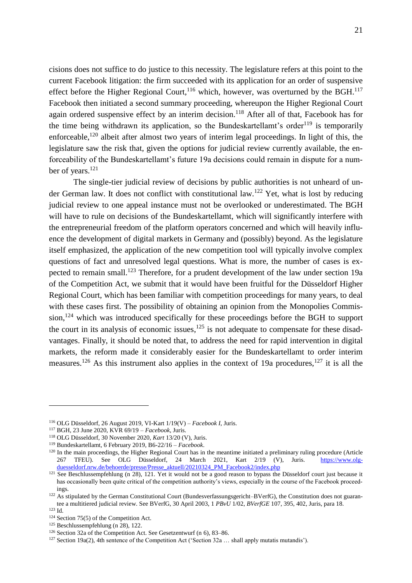cisions does not suffice to do justice to this necessity. The legislature refers at this point to the current Facebook litigation: the firm succeeded with its application for an order of suspensive effect before the Higher Regional Court,  $^{116}$  which, however, was overturned by the BGH.<sup>117</sup> Facebook then initiated a second summary proceeding, whereupon the Higher Regional Court again ordered suspensive effect by an interim decision.<sup>118</sup> After all of that, Facebook has for the time being withdrawn its application, so the Bundeskartellamt's order<sup>119</sup> is temporarily enforceable,<sup>120</sup> albeit after almost two years of interim legal proceedings. In light of this, the legislature saw the risk that, given the options for judicial review currently available, the enforceability of the Bundeskartellamt's future 19a decisions could remain in dispute for a number of years.<sup>121</sup>

The single-tier judicial review of decisions by public authorities is not unheard of under German law. It does not conflict with constitutional law.<sup>122</sup> Yet, what is lost by reducing judicial review to one appeal instance must not be overlooked or underestimated. The BGH will have to rule on decisions of the Bundeskartellamt, which will significantly interfere with the entrepreneurial freedom of the platform operators concerned and which will heavily influence the development of digital markets in Germany and (possibly) beyond. As the legislature itself emphasized, the application of the new competition tool will typically involve complex questions of fact and unresolved legal questions. What is more, the number of cases is expected to remain small.<sup>123</sup> Therefore, for a prudent development of the law under section 19a of the Competition Act, we submit that it would have been fruitful for the Düsseldorf Higher Regional Court, which has been familiar with competition proceedings for many years, to deal with these cases first. The possibility of obtaining an opinion from the Monopolies Commission,<sup>124</sup> which was introduced specifically for these proceedings before the BGH to support the court in its analysis of economic issues,  $125$  is not adequate to compensate for these disadvantages. Finally, it should be noted that, to address the need for rapid intervention in digital markets, the reform made it considerably easier for the Bundeskartellamt to order interim measures.<sup>126</sup> As this instrument also applies in the context of 19a procedures,<sup>127</sup> it is all the

<sup>116</sup> OLG Düsseldorf, 26 August 2019, VI-Kart 1/19(V) – *Facebook I*, Juris.

<sup>117</sup> BGH, 23 June 2020, KVR 69/19 – *Facebook*, Juris.

<sup>118</sup> OLG Düsseldorf, 30 November 2020, *Kart* 13/20 (V), Juris.

<sup>119</sup> Bundeskartellamt, 6 February 2019, B6-22/16 – *Facebook*.

 $120$  In the main proceedings, the Higher Regional Court has in the meantime initiated a preliminary ruling procedure (Article 267 TFEU). See OLG Düsseldorf, 24 March 2021, Kart 2/19 (V), Juris. [https://www.olg](https://www.olg-duesseldorf.nrw.de/behoerde/presse/Presse_aktuell/20210324_PM_Facebook2/index.php)[duesseldorf.nrw.de/behoerde/presse/Presse\\_aktuell/20210324\\_PM\\_Facebook2/index.php](https://www.olg-duesseldorf.nrw.de/behoerde/presse/Presse_aktuell/20210324_PM_Facebook2/index.php)

<sup>&</sup>lt;sup>121</sup> See Beschlussempfehlung (n [28\)](#page-7-1), 121. Yet it would not be a good reason to bypass the Düsseldorf court just because it has occasionally been quite critical of the competition authority's views, especially in the course of the Facebook proceedings.

<sup>&</sup>lt;sup>122</sup> As stipulated by the German Constitutional Court (Bundesverfassungsgericht–BVerfG), the Constitution does not guarantee a multitiered judicial review. See BVerfG, 30 April 2003, 1 *PBvU* 1/02, *BVerfGE* 107, 395, 402, Juris, para 18. <sup>123</sup> Id.

<sup>124</sup> Section 75(5) of the Competition Act.

 $125$  Beschlussempfehlung (n [28\)](#page-7-1), 122.

<sup>126</sup> Section 32a of the Competition Act. See Gesetzentwurf (n [6\)](#page-4-1), 83–86.

 $127$  Section 19a(2), 4th sentence of the Competition Act ('Section 32a ... shall apply mutatis mutandis').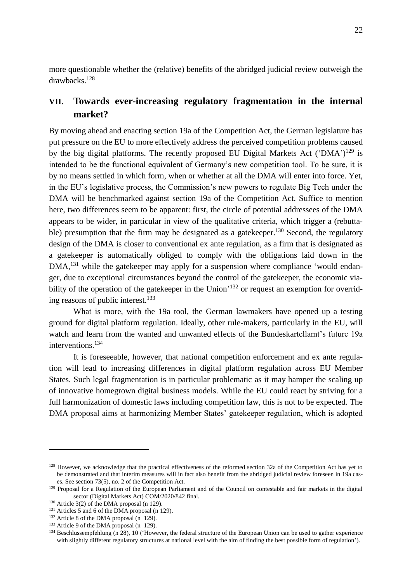more questionable whether the (relative) benefits of the abridged judicial review outweigh the drawbacks.<sup>128</sup>

## <span id="page-22-0"></span>**VII. Towards ever-increasing regulatory fragmentation in the internal market?**

<span id="page-22-1"></span>By moving ahead and enacting section 19a of the Competition Act, the German legislature has put pressure on the EU to more effectively address the perceived competition problems caused by the big digital platforms. The recently proposed EU Digital Markets Act ('DMA')<sup>129</sup> is intended to be the functional equivalent of Germany's new competition tool. To be sure, it is by no means settled in which form, when or whether at all the DMA will enter into force. Yet, in the EU's legislative process, the Commission's new powers to regulate Big Tech under the DMA will be benchmarked against section 19a of the Competition Act. Suffice to mention here, two differences seem to be apparent: first, the circle of potential addressees of the DMA appears to be wider, in particular in view of the qualitative criteria, which trigger a (rebuttable) presumption that the firm may be designated as a gatekeeper.<sup>130</sup> Second, the regulatory design of the DMA is closer to conventional ex ante regulation, as a firm that is designated as a gatekeeper is automatically obliged to comply with the obligations laid down in the DMA,<sup>131</sup> while the gatekeeper may apply for a suspension where compliance 'would endanger, due to exceptional circumstances beyond the control of the gatekeeper, the economic viability of the operation of the gatekeeper in the Union<sup>'132</sup> or request an exemption for overriding reasons of public interest.<sup>133</sup>

What is more, with the 19a tool, the German lawmakers have opened up a testing ground for digital platform regulation. Ideally, other rule-makers, particularly in the EU, will watch and learn from the wanted and unwanted effects of the Bundeskartellamt's future 19a interventions.<sup>134</sup>

It is foreseeable, however, that national competition enforcement and ex ante regulation will lead to increasing differences in digital platform regulation across EU Member States. Such legal fragmentation is in particular problematic as it may hamper the scaling up of innovative homegrown digital business models. While the EU could react by striving for a full harmonization of domestic laws including competition law, this is not to be expected. The DMA proposal aims at harmonizing Member States' gatekeeper regulation, which is adopted

<sup>&</sup>lt;sup>128</sup> However, we acknowledge that the practical effectiveness of the reformed section 32a of the Competition Act has yet to be demonstrated and that interim measures will in fact also benefit from the abridged judicial review foreseen in 19a cases. See section 73(5), no. 2 of the Competition Act.

<sup>&</sup>lt;sup>129</sup> Proposal for a Regulation of the European Parliament and of the Council on contestable and fair markets in the digital sector (Digital Markets Act) COM/2020/842 final.

<sup>&</sup>lt;sup>130</sup> Article 3(2) of the DMA proposal (n [129\)](#page-22-1).

<sup>&</sup>lt;sup>131</sup> Articles 5 and 6 of the DMA proposal (n [129\)](#page-22-1).

 $132$  Article 8 of the DMA proposal (n [129\)](#page-22-1).

 $133$  Article 9 of the DMA proposal (n [129\)](#page-22-1).

<sup>&</sup>lt;sup>134</sup> Beschlussempfehlung ([n 28\)](#page-7-1), 10 ('However, the federal structure of the European Union can be used to gather experience with slightly different regulatory structures at national level with the aim of finding the best possible form of regulation').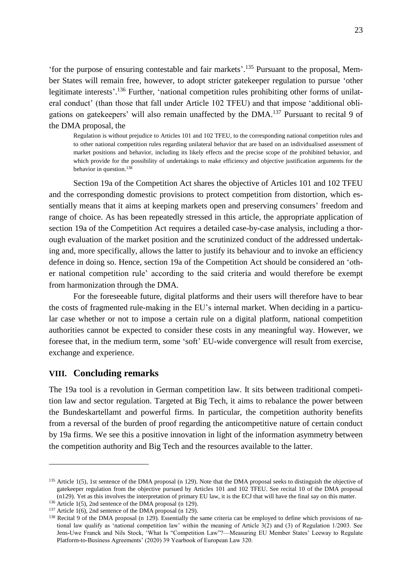'for the purpose of ensuring contestable and fair markets'. <sup>135</sup> Pursuant to the proposal, Member States will remain free, however, to adopt stricter gatekeeper regulation to pursue 'other legitimate interests'.<sup>136</sup> Further, 'national competition rules prohibiting other forms of unilateral conduct' (than those that fall under Article 102 TFEU) and that impose 'additional obligations on gatekeepers' will also remain unaffected by the DMA.<sup>137</sup> Pursuant to recital 9 of the DMA proposal, the

Regulation is without prejudice to Articles 101 and 102 TFEU, to the corresponding national competition rules and to other national competition rules regarding unilateral behavior that are based on an individualised assessment of market positions and behavior, including its likely effects and the precise scope of the prohibited behavior, and which provide for the possibility of undertakings to make efficiency and objective justification arguments for the behavior in question.<sup>138</sup>

Section 19a of the Competition Act shares the objective of Articles 101 and 102 TFEU and the corresponding domestic provisions to protect competition from distortion, which essentially means that it aims at keeping markets open and preserving consumers' freedom and range of choice. As has been repeatedly stressed in this article, the appropriate application of section 19a of the Competition Act requires a detailed case-by-case analysis, including a thorough evaluation of the market position and the scrutinized conduct of the addressed undertaking and, more specifically, allows the latter to justify its behaviour and to invoke an efficiency defence in doing so. Hence, section 19a of the Competition Act should be considered an 'other national competition rule' according to the said criteria and would therefore be exempt from harmonization through the DMA.

For the foreseeable future, digital platforms and their users will therefore have to bear the costs of fragmented rule-making in the EU's internal market. When deciding in a particular case whether or not to impose a certain rule on a digital platform, national competition authorities cannot be expected to consider these costs in any meaningful way. However, we foresee that, in the medium term, some 'soft' EU-wide convergence will result from exercise, exchange and experience.

#### <span id="page-23-0"></span>**VIII. Concluding remarks**

<u>.</u>

The 19a tool is a revolution in German competition law. It sits between traditional competition law and sector regulation. Targeted at Big Tech, it aims to rebalance the power between the Bundeskartellamt and powerful firms. In particular, the competition authority benefits from a reversal of the burden of proof regarding the anticompetitive nature of certain conduct by 19a firms. We see this a positive innovation in light of the information asymmetry between the competition authority and Big Tech and the resources available to the latter.

 $135$  Article 1(5), 1st sentence of the DMA proposal (n [129\)](#page-22-1). Note that the DMA proposal seeks to distinguish the objective of gatekeeper regulation from the objective pursued by Articles 101 and 102 TFEU. See recital 10 of the DMA proposal ([n129\)](#page-22-1). Yet as this involves the interpretation of primary EU law, it is the ECJ that will have the final say on this matter.

<sup>&</sup>lt;sup>136</sup> Article 1(5), 2nd sentence of the DMA proposal ([n 129\)](#page-22-1).

<sup>137</sup> Article 1(6), 2nd sentence of the DMA proposal ([n 129\)](#page-22-1).

<sup>&</sup>lt;sup>138</sup> Recital 9 of the DMA proposal (n [129\)](#page-22-1). Essentially the same criteria can be employed to define which provisions of national law qualify as 'national competition law' within the meaning of Article 3(2) and (3) of Regulation 1/2003. See Jens-Uwe Franck and Nils Stock, 'What Is "Competition Law"?––Measuring EU Member States' Leeway to Regulate Platform-to-Business Agreements' (2020) 39 Yearbook of European Law 320.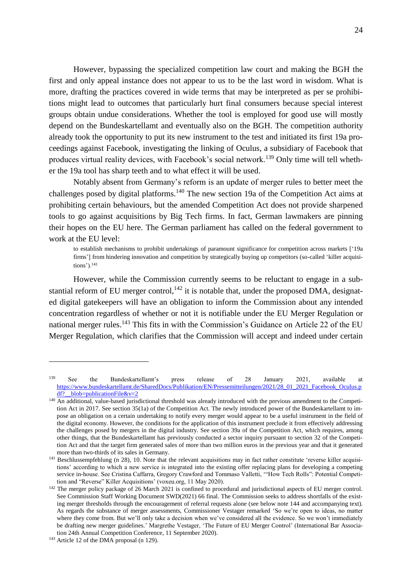However, bypassing the specialized competition law court and making the BGH the first and only appeal instance does not appear to us to be the last word in wisdom. What is more, drafting the practices covered in wide terms that may be interpreted as per se prohibitions might lead to outcomes that particularly hurt final consumers because special interest groups obtain undue considerations. Whether the tool is employed for good use will mostly depend on the Bundeskartellamt and eventually also on the BGH. The competition authority already took the opportunity to put its new instrument to the test and initiated its first 19a proceedings against Facebook, investigating the linking of Oculus, a subsidiary of Facebook that produces virtual reality devices, with Facebook's social network.<sup>139</sup> Only time will tell whether the 19a tool has sharp teeth and to what effect it will be used.

Notably absent from Germany's reform is an update of merger rules to better meet the challenges posed by digital platforms.<sup>140</sup> The new section 19a of the Competition Act aims at prohibiting certain behaviours, but the amended Competition Act does not provide sharpened tools to go against acquisitions by Big Tech firms. In fact, German lawmakers are pinning their hopes on the EU here. The German parliament has called on the federal government to work at the EU level:

to establish mechanisms to prohibit undertakings of paramount significance for competition across markets ['19a firms'] from hindering innovation and competition by strategically buying up competitors (so-called 'killer acquisitions').<sup>141</sup>

However, while the Commission currently seems to be reluctant to engage in a substantial reform of EU merger control,  $142$  it is notable that, under the proposed DMA, designated digital gatekeepers will have an obligation to inform the Commission about any intended concentration regardless of whether or not it is notifiable under the EU Merger Regulation or national merger rules.<sup>143</sup> This fits in with the Commission's Guidance on Article 22 of the EU Merger Regulation, which clarifies that the Commission will accept and indeed under certain

<sup>139</sup> See the Bundeskartellamt's press release of 28 January 2021, available at [https://www.bundeskartellamt.de/SharedDocs/Publikation/EN/Pressemitteilungen/2021/28\\_01\\_2021\\_Facebook\\_Oculus.p](https://www.bundeskartellamt.de/SharedDocs/Publikation/EN/Pressemitteilungen/2021/28_01_2021_Facebook_Oculus.pdf?__blob=publicationFile&v=2) df? blob=publicationFile&v=2

<sup>&</sup>lt;sup>140</sup> An additional, value-based jurisdictional threshold was already introduced with the previous amendment to the Competition Act in 2017. See section 35(1a) of the Competition Act. The newly introduced power of the Bundeskartellamt to impose an obligation on a certain undertaking to notify every merger would appear to be a useful instrument in the field of the digital economy. However, the conditions for the application of this instrument preclude it from effectively addressing the challenges posed by mergers in the digital industry. See section 39a of the Competition Act, which requires, among other things, that the Bundeskartellamt has previously conducted a sector inquiry pursuant to section 32 of the Competition Act and that the target firm generated sales of more than two million euros in the previous year and that it generated more than two-thirds of its sales in Germany.

<sup>&</sup>lt;sup>141</sup> Beschlussempfehlung (n [28\)](#page-7-1), 10. Note that the relevant acquisitions may in fact rather constitute 'reverse killer acquisitions' according to which a new service is integrated into the existing offer replacing plans for developing a competing service in-house. See Cristina Caffarra, Gregory Crawford and Tommaso Valletti, '"How Tech Rolls": Potential Competition and "Reverse" Killer Acquisitions' (voxeu.org, 11 May 2020).

<sup>&</sup>lt;sup>142</sup> The merger policy package of 26 March 2021 is confined to procedural and jurisdictional aspects of EU merger control. See Commission Staff Working Document SWD(2021) 66 final. The Commission seeks to address shortfalls of the existing merger thresholds through the encouragement of referral requests alone (see below note [144](#page-25-0) and accompanying text). As regards the substance of merger assessments, Commissioner Vestager remarked 'So we're open to ideas, no matter where they come from. But we'll only take a decision when we've considered all the evidence. So we won't immediately be drafting new merger guidelines.' Margrethe Vestager, 'The Future of EU Merger Control' (International Bar Association 24th Annual Competition Conference, 11 September 2020).

<sup>&</sup>lt;sup>143</sup> Article 12 of the DMA proposal (n [129\)](#page-22-1).